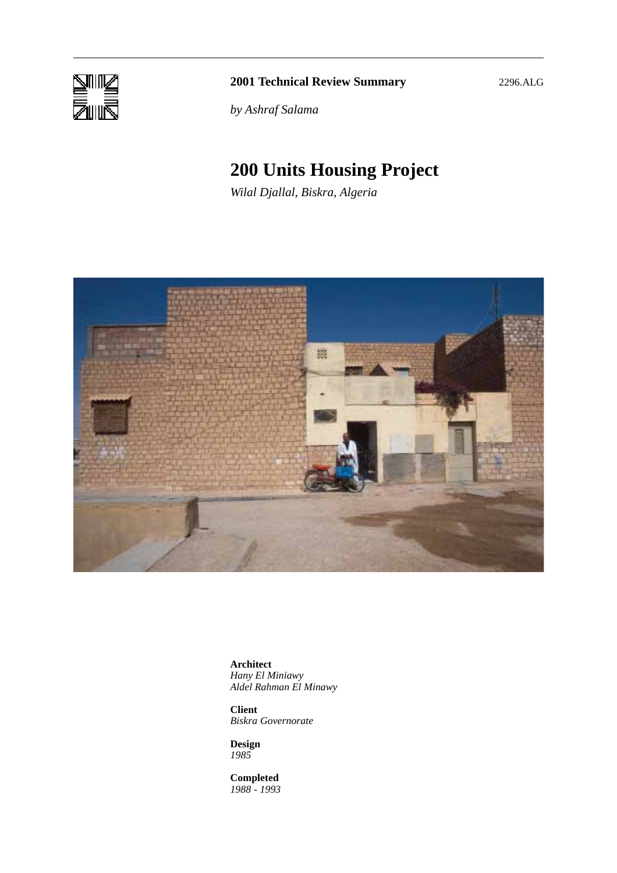

## **2001 Technical Review Summary** 2296.ALG

*by Ashraf Salama*

# **200 Units Housing Project**

*Wilal Djallal, Biskra, Algeria*



**Architect** *Hany El Miniawy Aldel Rahman El Minawy*

**Client** *Biskra Governorate*

**Design** *1985*

**Completed** *1988 - 1993*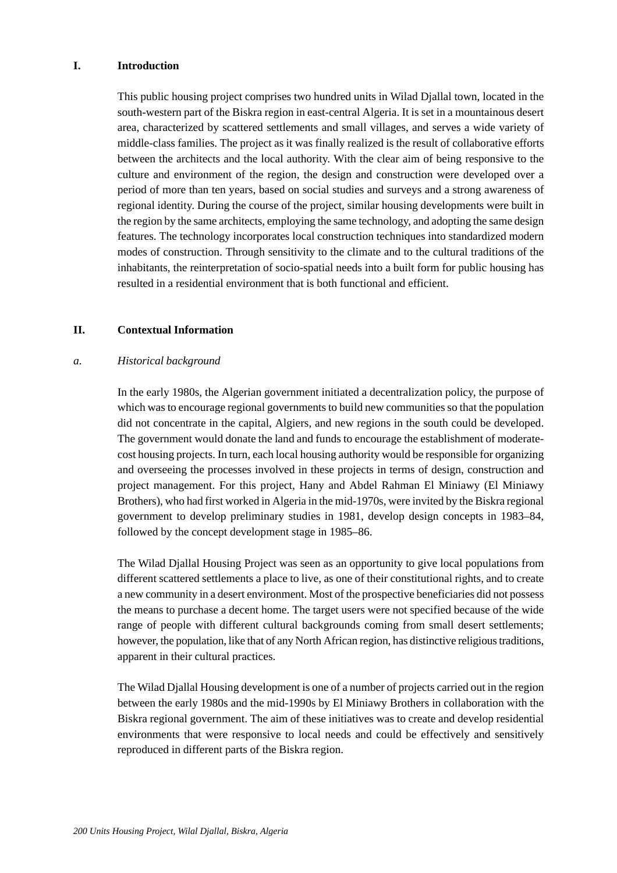### **I. Introduction**

This public housing project comprises two hundred units in Wilad Djallal town, located in the south-western part of the Biskra region in east-central Algeria. It is set in a mountainous desert area, characterized by scattered settlements and small villages, and serves a wide variety of middle-class families. The project as it was finally realized is the result of collaborative efforts between the architects and the local authority. With the clear aim of being responsive to the culture and environment of the region, the design and construction were developed over a period of more than ten years, based on social studies and surveys and a strong awareness of regional identity. During the course of the project, similar housing developments were built in the region by the same architects, employing the same technology, and adopting the same design features. The technology incorporates local construction techniques into standardized modern modes of construction. Through sensitivity to the climate and to the cultural traditions of the inhabitants, the reinterpretation of socio-spatial needs into a built form for public housing has resulted in a residential environment that is both functional and efficient.

#### **II. Contextual Information**

#### *a. Historical background*

In the early 1980s, the Algerian government initiated a decentralization policy, the purpose of which was to encourage regional governments to build new communities so that the population did not concentrate in the capital, Algiers, and new regions in the south could be developed. The government would donate the land and funds to encourage the establishment of moderatecost housing projects. In turn, each local housing authority would be responsible for organizing and overseeing the processes involved in these projects in terms of design, construction and project management. For this project, Hany and Abdel Rahman El Miniawy (El Miniawy Brothers), who had first worked in Algeria in the mid-1970s, were invited by the Biskra regional government to develop preliminary studies in 1981, develop design concepts in 1983–84, followed by the concept development stage in 1985–86.

The Wilad Djallal Housing Project was seen as an opportunity to give local populations from different scattered settlements a place to live, as one of their constitutional rights, and to create a new community in a desert environment. Most of the prospective beneficiaries did not possess the means to purchase a decent home. The target users were not specified because of the wide range of people with different cultural backgrounds coming from small desert settlements; however, the population, like that of any North African region, has distinctive religious traditions, apparent in their cultural practices.

The Wilad Djallal Housing development is one of a number of projects carried out in the region between the early 1980s and the mid-1990s by El Miniawy Brothers in collaboration with the Biskra regional government. The aim of these initiatives was to create and develop residential environments that were responsive to local needs and could be effectively and sensitively reproduced in different parts of the Biskra region.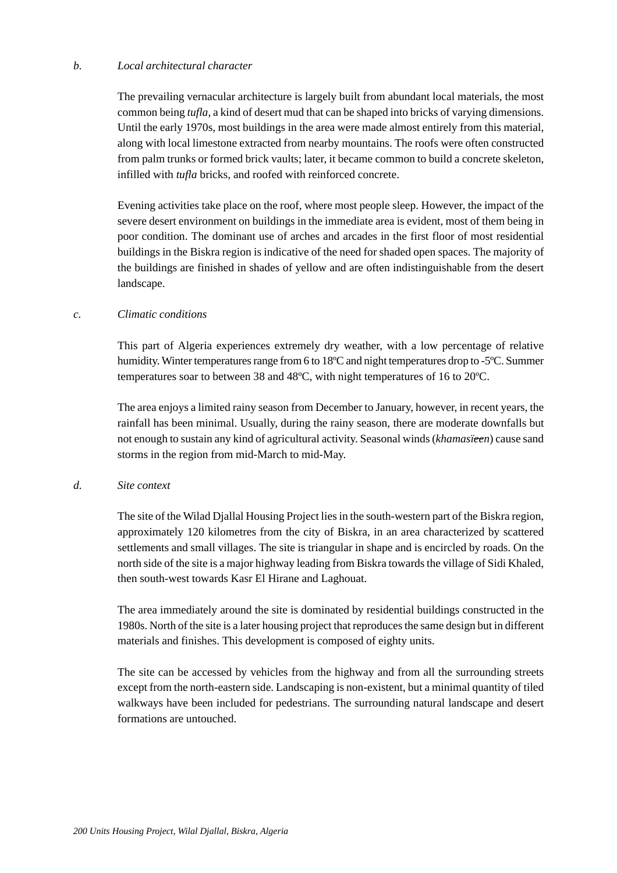## *b. Local architectural character*

The prevailing vernacular architecture is largely built from abundant local materials, the most common being *tufla*, a kind of desert mud that can be shaped into bricks of varying dimensions. Until the early 1970s, most buildings in the area were made almost entirely from this material, along with local limestone extracted from nearby mountains. The roofs were often constructed from palm trunks or formed brick vaults; later, it became common to build a concrete skeleton, infilled with *tufla* bricks, and roofed with reinforced concrete.

Evening activities take place on the roof, where most people sleep. However, the impact of the severe desert environment on buildings in the immediate area is evident, most of them being in poor condition. The dominant use of arches and arcades in the first floor of most residential buildings in the Biskra region is indicative of the need for shaded open spaces. The majority of the buildings are finished in shades of yellow and are often indistinguishable from the desert landscape.

#### *c. Climatic conditions*

This part of Algeria experiences extremely dry weather, with a low percentage of relative humidity. Winter temperatures range from 6 to 18ºC and night temperatures drop to -5ºC. Summer temperatures soar to between 38 and 48ºC, with night temperatures of 16 to 20ºC.

The area enjoys a limited rainy season from December to January, however, in recent years, the rainfall has been minimal. Usually, during the rainy season, there are moderate downfalls but not enough to sustain any kind of agricultural activity. Seasonal winds (*khamasïeen*) cause sand storms in the region from mid-March to mid-May.

#### *d. Site context*

The site of the Wilad Djallal Housing Project lies in the south-western part of the Biskra region, approximately 120 kilometres from the city of Biskra, in an area characterized by scattered settlements and small villages. The site is triangular in shape and is encircled by roads. On the north side of the site is a major highway leading from Biskra towards the village of Sidi Khaled, then south-west towards Kasr El Hirane and Laghouat.

The area immediately around the site is dominated by residential buildings constructed in the 1980s. North of the site is a later housing project that reproduces the same design but in different materials and finishes. This development is composed of eighty units.

The site can be accessed by vehicles from the highway and from all the surrounding streets except from the north-eastern side. Landscaping is non-existent, but a minimal quantity of tiled walkways have been included for pedestrians. The surrounding natural landscape and desert formations are untouched.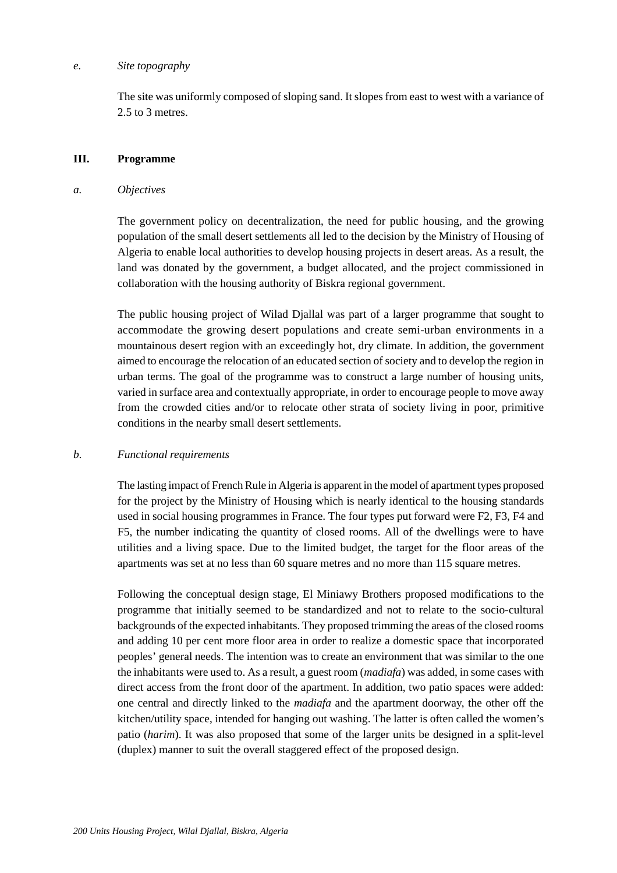#### *e. Site topography*

The site was uniformly composed of sloping sand. It slopes from east to west with a variance of 2.5 to 3 metres.

### **III. Programme**

#### *a. Objectives*

The government policy on decentralization, the need for public housing, and the growing population of the small desert settlements all led to the decision by the Ministry of Housing of Algeria to enable local authorities to develop housing projects in desert areas. As a result, the land was donated by the government, a budget allocated, and the project commissioned in collaboration with the housing authority of Biskra regional government.

The public housing project of Wilad Djallal was part of a larger programme that sought to accommodate the growing desert populations and create semi-urban environments in a mountainous desert region with an exceedingly hot, dry climate. In addition, the government aimed to encourage the relocation of an educated section of society and to develop the region in urban terms. The goal of the programme was to construct a large number of housing units, varied in surface area and contextually appropriate, in order to encourage people to move away from the crowded cities and/or to relocate other strata of society living in poor, primitive conditions in the nearby small desert settlements.

## *b. Functional requirements*

The lasting impact of French Rule in Algeria is apparent in the model of apartment types proposed for the project by the Ministry of Housing which is nearly identical to the housing standards used in social housing programmes in France. The four types put forward were F2, F3, F4 and F5, the number indicating the quantity of closed rooms. All of the dwellings were to have utilities and a living space. Due to the limited budget, the target for the floor areas of the apartments was set at no less than 60 square metres and no more than 115 square metres.

Following the conceptual design stage, El Miniawy Brothers proposed modifications to the programme that initially seemed to be standardized and not to relate to the socio-cultural backgrounds of the expected inhabitants. They proposed trimming the areas of the closed rooms and adding 10 per cent more floor area in order to realize a domestic space that incorporated peoples' general needs. The intention was to create an environment that was similar to the one the inhabitants were used to. As a result, a guest room (*madiafa*) was added, in some cases with direct access from the front door of the apartment. In addition, two patio spaces were added: one central and directly linked to the *madiafa* and the apartment doorway, the other off the kitchen/utility space, intended for hanging out washing. The latter is often called the women's patio (*harim*). It was also proposed that some of the larger units be designed in a split-level (duplex) manner to suit the overall staggered effect of the proposed design.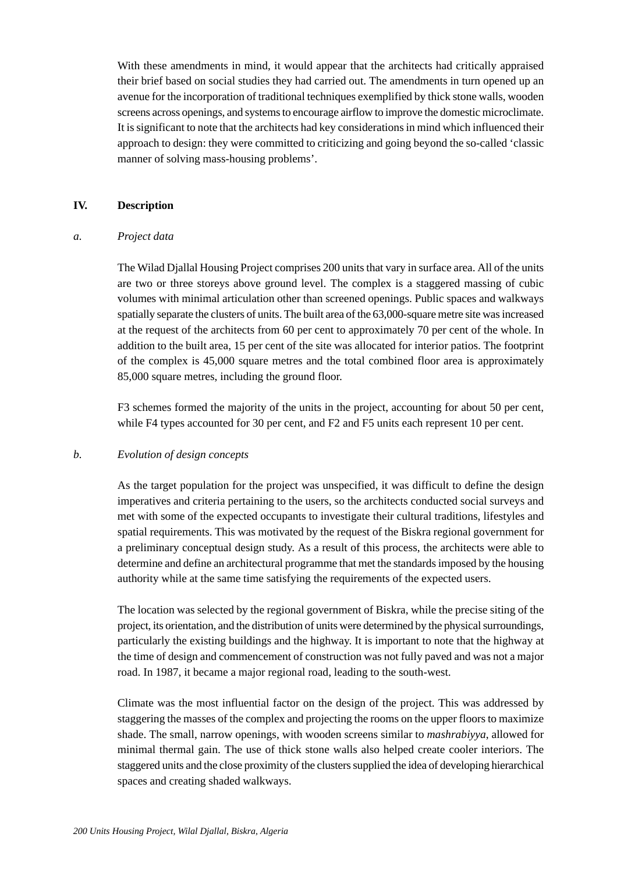With these amendments in mind, it would appear that the architects had critically appraised their brief based on social studies they had carried out. The amendments in turn opened up an avenue for the incorporation of traditional techniques exemplified by thick stone walls, wooden screens across openings, and systems to encourage airflow to improve the domestic microclimate. It is significant to note that the architects had key considerations in mind which influenced their approach to design: they were committed to criticizing and going beyond the so-called 'classic manner of solving mass-housing problems'.

### **IV. Description**

#### *a. Project data*

The Wilad Djallal Housing Project comprises 200 units that vary in surface area. All of the units are two or three storeys above ground level. The complex is a staggered massing of cubic volumes with minimal articulation other than screened openings. Public spaces and walkways spatially separate the clusters of units. The built area of the 63,000-square metre site was increased at the request of the architects from 60 per cent to approximately 70 per cent of the whole. In addition to the built area, 15 per cent of the site was allocated for interior patios. The footprint of the complex is 45,000 square metres and the total combined floor area is approximately 85,000 square metres, including the ground floor.

F3 schemes formed the majority of the units in the project, accounting for about 50 per cent, while F4 types accounted for 30 per cent, and F2 and F5 units each represent 10 per cent.

## *b. Evolution of design concepts*

As the target population for the project was unspecified, it was difficult to define the design imperatives and criteria pertaining to the users, so the architects conducted social surveys and met with some of the expected occupants to investigate their cultural traditions, lifestyles and spatial requirements. This was motivated by the request of the Biskra regional government for a preliminary conceptual design study. As a result of this process, the architects were able to determine and define an architectural programme that met the standards imposed by the housing authority while at the same time satisfying the requirements of the expected users.

The location was selected by the regional government of Biskra, while the precise siting of the project, its orientation, and the distribution of units were determined by the physical surroundings, particularly the existing buildings and the highway. It is important to note that the highway at the time of design and commencement of construction was not fully paved and was not a major road. In 1987, it became a major regional road, leading to the south-west.

Climate was the most influential factor on the design of the project. This was addressed by staggering the masses of the complex and projecting the rooms on the upper floors to maximize shade. The small, narrow openings, with wooden screens similar to *mashrabiyya*, allowed for minimal thermal gain. The use of thick stone walls also helped create cooler interiors. The staggered units and the close proximity of the clusters supplied the idea of developing hierarchical spaces and creating shaded walkways.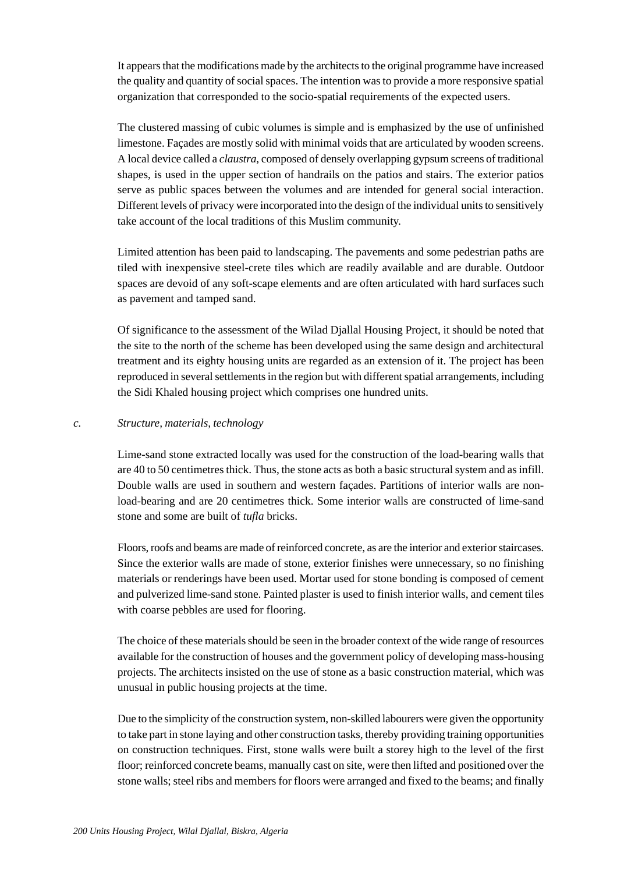It appears that the modifications made by the architects to the original programme have increased the quality and quantity of social spaces. The intention was to provide a more responsive spatial organization that corresponded to the socio-spatial requirements of the expected users.

The clustered massing of cubic volumes is simple and is emphasized by the use of unfinished limestone. Façades are mostly solid with minimal voids that are articulated by wooden screens. A local device called a *claustra,* composed of densely overlapping gypsum screens of traditional shapes, is used in the upper section of handrails on the patios and stairs. The exterior patios serve as public spaces between the volumes and are intended for general social interaction. Different levels of privacy were incorporated into the design of the individual units to sensitively take account of the local traditions of this Muslim community.

Limited attention has been paid to landscaping. The pavements and some pedestrian paths are tiled with inexpensive steel-crete tiles which are readily available and are durable. Outdoor spaces are devoid of any soft-scape elements and are often articulated with hard surfaces such as pavement and tamped sand.

Of significance to the assessment of the Wilad Djallal Housing Project, it should be noted that the site to the north of the scheme has been developed using the same design and architectural treatment and its eighty housing units are regarded as an extension of it. The project has been reproduced in several settlements in the region but with different spatial arrangements, including the Sidi Khaled housing project which comprises one hundred units.

## *c. Structure, materials, technology*

Lime-sand stone extracted locally was used for the construction of the load-bearing walls that are 40 to 50 centimetres thick. Thus, the stone acts as both a basic structural system and as infill. Double walls are used in southern and western façades. Partitions of interior walls are nonload-bearing and are 20 centimetres thick. Some interior walls are constructed of lime-sand stone and some are built of *tufla* bricks.

Floors, roofs and beams are made of reinforced concrete, as are the interior and exterior staircases. Since the exterior walls are made of stone, exterior finishes were unnecessary, so no finishing materials or renderings have been used. Mortar used for stone bonding is composed of cement and pulverized lime-sand stone. Painted plaster is used to finish interior walls, and cement tiles with coarse pebbles are used for flooring.

The choice of these materials should be seen in the broader context of the wide range of resources available for the construction of houses and the government policy of developing mass-housing projects. The architects insisted on the use of stone as a basic construction material, which was unusual in public housing projects at the time.

Due to the simplicity of the construction system, non-skilled labourers were given the opportunity to take part in stone laying and other construction tasks, thereby providing training opportunities on construction techniques. First, stone walls were built a storey high to the level of the first floor; reinforced concrete beams, manually cast on site, were then lifted and positioned over the stone walls; steel ribs and members for floors were arranged and fixed to the beams; and finally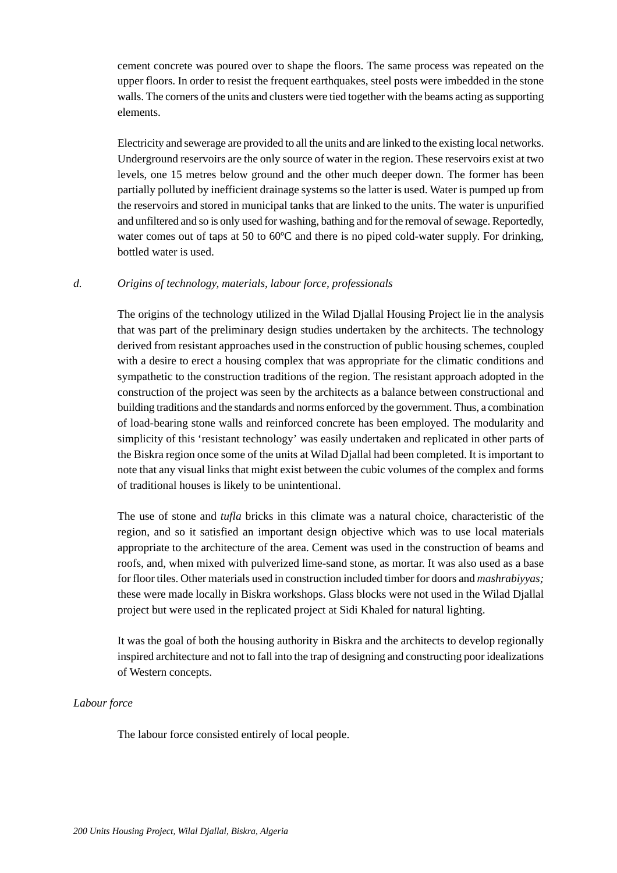cement concrete was poured over to shape the floors. The same process was repeated on the upper floors. In order to resist the frequent earthquakes, steel posts were imbedded in the stone walls. The corners of the units and clusters were tied together with the beams acting as supporting elements.

Electricity and sewerage are provided to all the units and are linked to the existing local networks. Underground reservoirs are the only source of water in the region. These reservoirs exist at two levels, one 15 metres below ground and the other much deeper down. The former has been partially polluted by inefficient drainage systems so the latter is used. Water is pumped up from the reservoirs and stored in municipal tanks that are linked to the units. The water is unpurified and unfiltered and so is only used for washing, bathing and for the removal of sewage. Reportedly, water comes out of taps at 50 to 60<sup>o</sup>C and there is no piped cold-water supply. For drinking, bottled water is used.

## *d. Origins of technology, materials, labour force, professionals*

The origins of the technology utilized in the Wilad Djallal Housing Project lie in the analysis that was part of the preliminary design studies undertaken by the architects. The technology derived from resistant approaches used in the construction of public housing schemes, coupled with a desire to erect a housing complex that was appropriate for the climatic conditions and sympathetic to the construction traditions of the region. The resistant approach adopted in the construction of the project was seen by the architects as a balance between constructional and building traditions and the standards and norms enforced by the government. Thus, a combination of load-bearing stone walls and reinforced concrete has been employed. The modularity and simplicity of this 'resistant technology' was easily undertaken and replicated in other parts of the Biskra region once some of the units at Wilad Djallal had been completed. It is important to note that any visual links that might exist between the cubic volumes of the complex and forms of traditional houses is likely to be unintentional.

The use of stone and *tufla* bricks in this climate was a natural choice, characteristic of the region, and so it satisfied an important design objective which was to use local materials appropriate to the architecture of the area. Cement was used in the construction of beams and roofs, and, when mixed with pulverized lime-sand stone, as mortar. It was also used as a base for floor tiles. Other materials used in construction included timber for doors and *mashrabiyyas;* these were made locally in Biskra workshops. Glass blocks were not used in the Wilad Djallal project but were used in the replicated project at Sidi Khaled for natural lighting.

It was the goal of both the housing authority in Biskra and the architects to develop regionally inspired architecture and not to fall into the trap of designing and constructing poor idealizations of Western concepts.

## *Labour force*

The labour force consisted entirely of local people.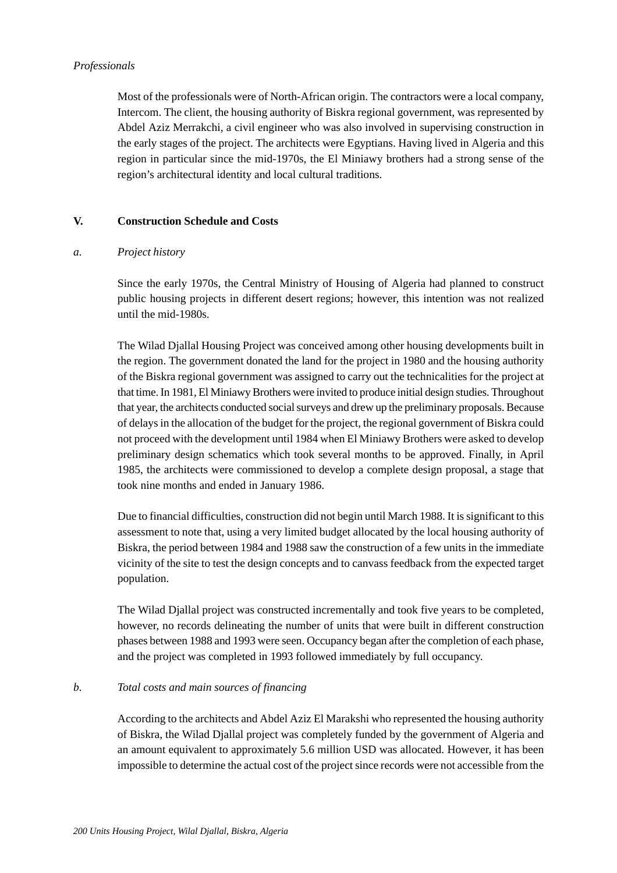## *Professionals*

Most of the professionals were of North-African origin. The contractors were a local company, Intercom. The client, the housing authority of Biskra regional government, was represented by Abdel Aziz Merrakchi, a civil engineer who was also involved in supervising construction in the early stages of the project. The architects were Egyptians. Having lived in Algeria and this region in particular since the mid-1970s, the El Miniawy brothers had a strong sense of the region's architectural identity and local cultural traditions.

## **V. Construction Schedule and Costs**

## *a. Project history*

Since the early 1970s, the Central Ministry of Housing of Algeria had planned to construct public housing projects in different desert regions; however, this intention was not realized until the mid-1980s.

The Wilad Djallal Housing Project was conceived among other housing developments built in the region. The government donated the land for the project in 1980 and the housing authority of the Biskra regional government was assigned to carry out the technicalities for the project at that time. In 1981, El Miniawy Brothers were invited to produce initial design studies. Throughout that year, the architects conducted social surveys and drew up the preliminary proposals. Because of delays in the allocation of the budget for the project, the regional government of Biskra could not proceed with the development until 1984 when El Miniawy Brothers were asked to develop preliminary design schematics which took several months to be approved. Finally, in April 1985, the architects were commissioned to develop a complete design proposal, a stage that took nine months and ended in January 1986.

Due to financial difficulties, construction did not begin until March 1988. It is significant to this assessment to note that, using a very limited budget allocated by the local housing authority of Biskra, the period between 1984 and 1988 saw the construction of a few units in the immediate vicinity of the site to test the design concepts and to canvass feedback from the expected target population.

The Wilad Djallal project was constructed incrementally and took five years to be completed, however, no records delineating the number of units that were built in different construction phases between 1988 and 1993 were seen. Occupancy began after the completion of each phase, and the project was completed in 1993 followed immediately by full occupancy.

## *b. Total costs and main sources of financing*

According to the architects and Abdel Aziz El Marakshi who represented the housing authority of Biskra, the Wilad Djallal project was completely funded by the government of Algeria and an amount equivalent to approximately 5.6 million USD was allocated. However, it has been impossible to determine the actual cost of the project since records were not accessible from the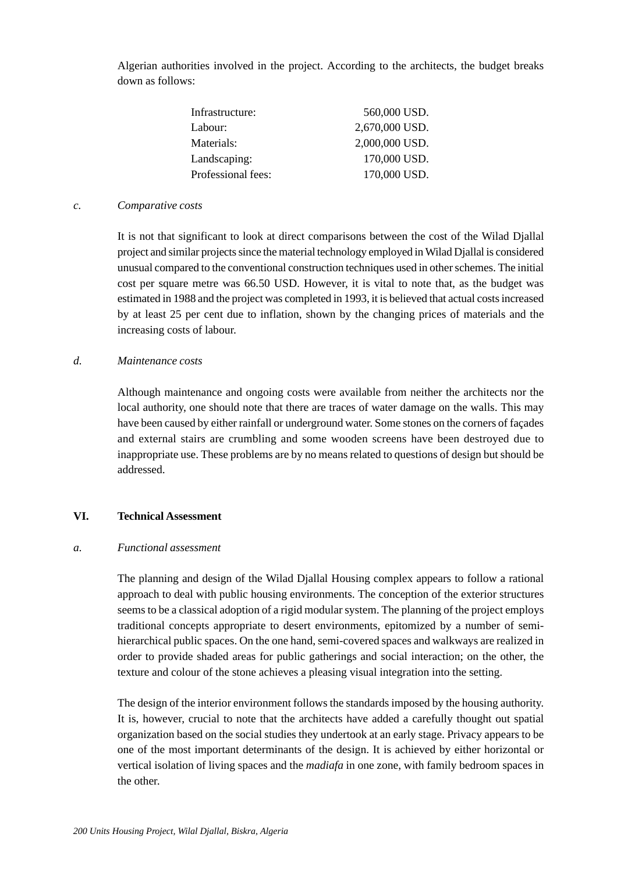Algerian authorities involved in the project. According to the architects, the budget breaks down as follows:

| 560,000 USD.   |
|----------------|
| 2,670,000 USD. |
| 2,000,000 USD. |
| 170,000 USD.   |
| 170,000 USD.   |
|                |

#### *c. Comparative costs*

It is not that significant to look at direct comparisons between the cost of the Wilad Djallal project and similar projects since the material technology employed in Wilad Djallal is considered unusual compared to the conventional construction techniques used in other schemes. The initial cost per square metre was 66.50 USD. However, it is vital to note that, as the budget was estimated in 1988 and the project was completed in 1993, it is believed that actual costs increased by at least 25 per cent due to inflation, shown by the changing prices of materials and the increasing costs of labour.

## *d. Maintenance costs*

Although maintenance and ongoing costs were available from neither the architects nor the local authority, one should note that there are traces of water damage on the walls. This may have been caused by either rainfall or underground water. Some stones on the corners of façades and external stairs are crumbling and some wooden screens have been destroyed due to inappropriate use. These problems are by no means related to questions of design but should be addressed.

## **VI. Technical Assessment**

#### *a. Functional assessment*

The planning and design of the Wilad Djallal Housing complex appears to follow a rational approach to deal with public housing environments. The conception of the exterior structures seems to be a classical adoption of a rigid modular system. The planning of the project employs traditional concepts appropriate to desert environments, epitomized by a number of semihierarchical public spaces. On the one hand, semi-covered spaces and walkways are realized in order to provide shaded areas for public gatherings and social interaction; on the other, the texture and colour of the stone achieves a pleasing visual integration into the setting.

The design of the interior environment follows the standards imposed by the housing authority. It is, however, crucial to note that the architects have added a carefully thought out spatial organization based on the social studies they undertook at an early stage. Privacy appears to be one of the most important determinants of the design. It is achieved by either horizontal or vertical isolation of living spaces and the *madiafa* in one zone, with family bedroom spaces in the other.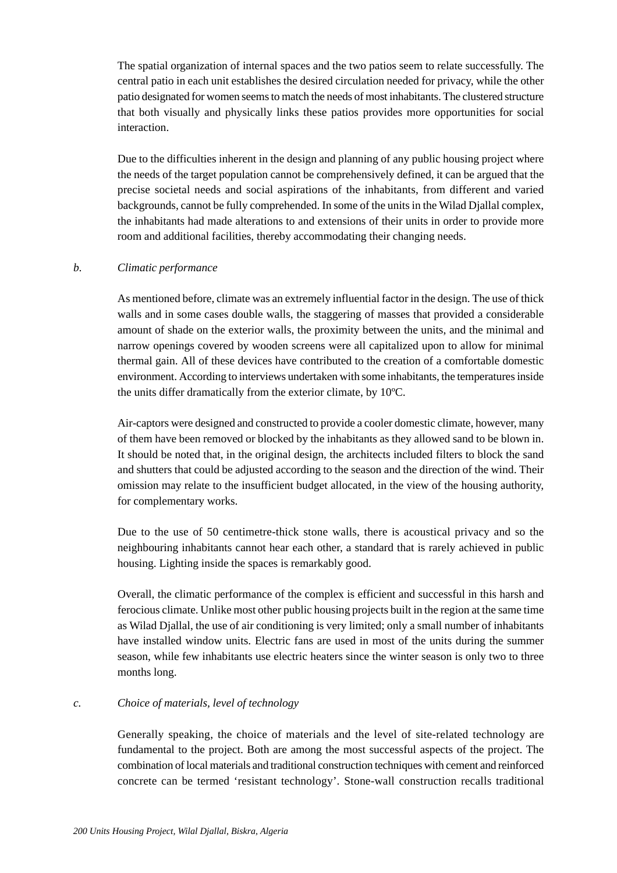The spatial organization of internal spaces and the two patios seem to relate successfully. The central patio in each unit establishes the desired circulation needed for privacy, while the other patio designated for women seems to match the needs of most inhabitants. The clustered structure that both visually and physically links these patios provides more opportunities for social interaction.

Due to the difficulties inherent in the design and planning of any public housing project where the needs of the target population cannot be comprehensively defined, it can be argued that the precise societal needs and social aspirations of the inhabitants, from different and varied backgrounds, cannot be fully comprehended. In some of the units in the Wilad Djallal complex, the inhabitants had made alterations to and extensions of their units in order to provide more room and additional facilities, thereby accommodating their changing needs.

## *b. Climatic performance*

As mentioned before, climate was an extremely influential factor in the design. The use of thick walls and in some cases double walls, the staggering of masses that provided a considerable amount of shade on the exterior walls, the proximity between the units, and the minimal and narrow openings covered by wooden screens were all capitalized upon to allow for minimal thermal gain. All of these devices have contributed to the creation of a comfortable domestic environment. According to interviews undertaken with some inhabitants, the temperatures inside the units differ dramatically from the exterior climate, by 10ºC.

Air-captors were designed and constructed to provide a cooler domestic climate, however, many of them have been removed or blocked by the inhabitants as they allowed sand to be blown in. It should be noted that, in the original design, the architects included filters to block the sand and shutters that could be adjusted according to the season and the direction of the wind. Their omission may relate to the insufficient budget allocated, in the view of the housing authority, for complementary works.

Due to the use of 50 centimetre-thick stone walls, there is acoustical privacy and so the neighbouring inhabitants cannot hear each other, a standard that is rarely achieved in public housing. Lighting inside the spaces is remarkably good.

Overall, the climatic performance of the complex is efficient and successful in this harsh and ferocious climate. Unlike most other public housing projects built in the region at the same time as Wilad Djallal, the use of air conditioning is very limited; only a small number of inhabitants have installed window units. Electric fans are used in most of the units during the summer season, while few inhabitants use electric heaters since the winter season is only two to three months long.

## *c. Choice of materials, level of technology*

Generally speaking, the choice of materials and the level of site-related technology are fundamental to the project. Both are among the most successful aspects of the project. The combination of local materials and traditional construction techniques with cement and reinforced concrete can be termed 'resistant technology'. Stone-wall construction recalls traditional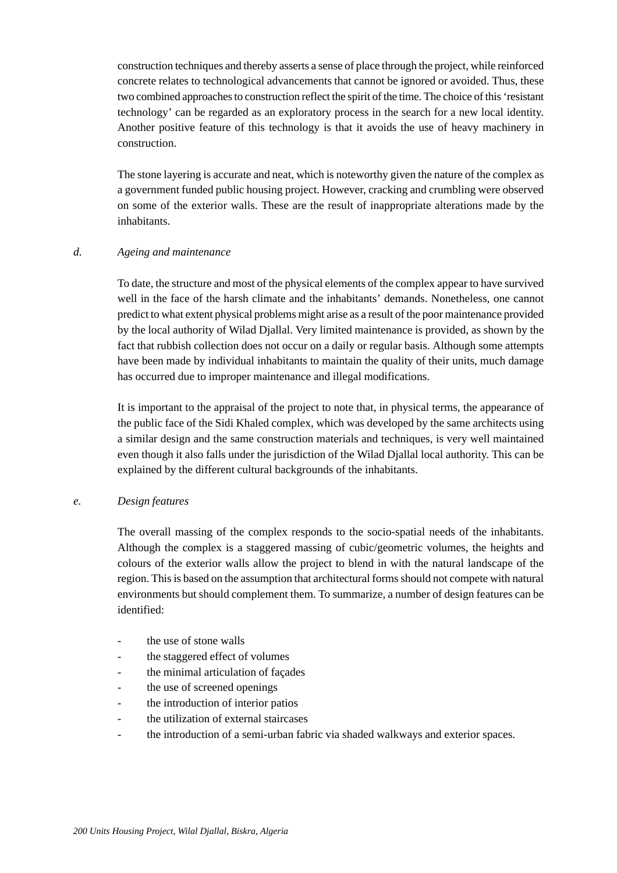construction techniques and thereby asserts a sense of place through the project, while reinforced concrete relates to technological advancements that cannot be ignored or avoided. Thus, these two combined approaches to construction reflect the spirit of the time. The choice of this 'resistant technology' can be regarded as an exploratory process in the search for a new local identity. Another positive feature of this technology is that it avoids the use of heavy machinery in construction.

The stone layering is accurate and neat, which is noteworthy given the nature of the complex as a government funded public housing project. However, cracking and crumbling were observed on some of the exterior walls. These are the result of inappropriate alterations made by the inhabitants.

## *d. Ageing and maintenance*

To date, the structure and most of the physical elements of the complex appear to have survived well in the face of the harsh climate and the inhabitants' demands. Nonetheless, one cannot predict to what extent physical problems might arise as a result of the poor maintenance provided by the local authority of Wilad Djallal. Very limited maintenance is provided, as shown by the fact that rubbish collection does not occur on a daily or regular basis. Although some attempts have been made by individual inhabitants to maintain the quality of their units, much damage has occurred due to improper maintenance and illegal modifications.

It is important to the appraisal of the project to note that, in physical terms, the appearance of the public face of the Sidi Khaled complex, which was developed by the same architects using a similar design and the same construction materials and techniques, is very well maintained even though it also falls under the jurisdiction of the Wilad Djallal local authority. This can be explained by the different cultural backgrounds of the inhabitants.

#### *e. Design features*

The overall massing of the complex responds to the socio-spatial needs of the inhabitants. Although the complex is a staggered massing of cubic/geometric volumes, the heights and colours of the exterior walls allow the project to blend in with the natural landscape of the region. This is based on the assumption that architectural forms should not compete with natural environments but should complement them. To summarize, a number of design features can be identified:

- the use of stone walls
- the staggered effect of volumes
- the minimal articulation of facades
- the use of screened openings
- the introduction of interior patios
- the utilization of external staircases
- the introduction of a semi-urban fabric via shaded walkways and exterior spaces.